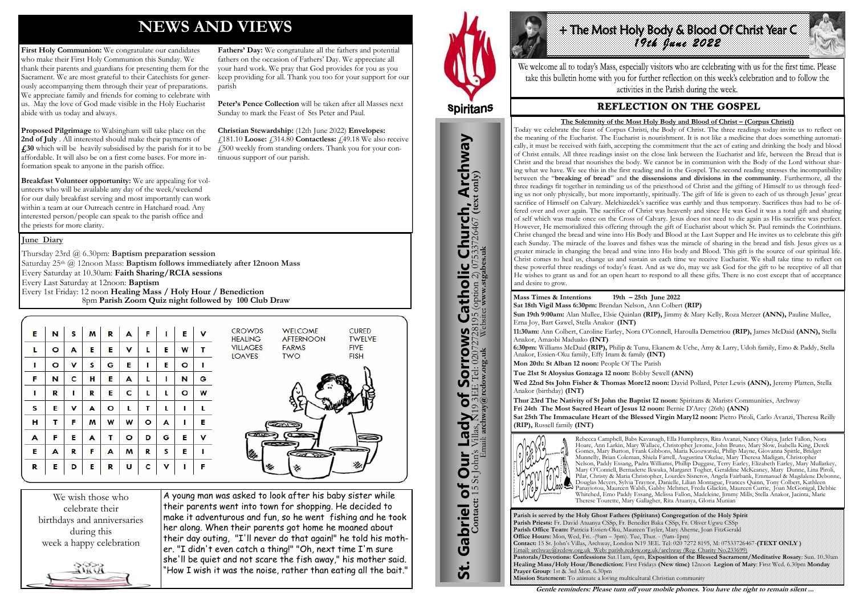## **NEWS AND VIEWS**

First Holy Communion: We congratulate our candidates who make their First Holy Communion this Sunday. We thank their parents and guardians for presenting them for the Sacrament. We are most grateful to their Catechists for generously accompanying them through their year of preparations. We appreciate family and friends for coming to celebrate with us. May the love of God made visible in the Holy Eucharist abide with us today and always.

**Proposed Pilgrimage** to Walsingham will take place on the **2nd of July** . All interested should make their payments of **£30** which will be heavily subsidised by the parish for it to be £500 weekly from standing orders. Thank you for your conaffordable. It will also be on a first come bases. For more information speak to anyone in the parish office.

**Breakfast Volunteer opportunity:** We are appealing for volunteers who will be available any day of the week/weekend for our daily breakfast serving and most importantly can work within a team at our Outreach centre in Hatchard road. Any interested person/people can speak to the parish office and the priests for more clarity.

**Fathers' Day:** We congratulate all the fathers and potential fathers on the occasion of Fathers' Day. We appreciate all your hard work. We pray that God provides for you as you keep providing for all. Thank you too for your support for our

parish

**Peter's Pence Collection** will be taken after all Masses next

Sunday to mark the Feast of Sts Peter and Paul.

**Christian Stewardship:** (12th June 2022) **Envelopes:** 

£181.10 **Loose:** £314.80 **Contactless:** £49.18 We also receive

tinuous support of our parish.

We wish those who celebrate their birthdays and anniversaries during this week a happy celebration



A young man was asked to look after his baby sister while their parents went into town for shopping. He decided to make it adventurous and fun, so he went fishing and he took her along. When their parents got home he moaned about their day outing, "I'll never do that again!" he told his mother. "I didn't even catch a thing!" "Oh, next time I'm sure she'll be quiet and not scare the fish away," his mother said. "How I wish it was the noise, rather than eating all the bait."



St. Gabriel of Our Lady of Sorrows Catholic Church, Archway

Gabriel of Our Lady of Sorrows

**St.** 

**S Catholic Church, Archway**<br>28195 (option 2) 07533726467 (text only)

#### **June Diary**

Thursday 23rd @ 6.30pm: **Baptism preparation session**  Saturday 25th @ 12noon Mass: **Baptism follows immediately after 12noon Mass** Every Saturday at 10.30am: **Faith Sharing/RCIA sessions**  Every Last Saturday at 12noon: **Baptism**  Every 1st Friday: 12 noon **Healing Mass / Holy Hour / Benediction** 8pm **Parish Zoom Quiz night followed by 100 Club Draw**

| E | N       | S | M | $\mathbf R$ | A       | F.      |             | E       | $\mathbf v$ | <b>CROWDS</b><br>WELCOME<br><b>CURED</b><br><b>TWELVE</b><br>AFTERNOON<br><b>HEALING</b>     |
|---|---------|---|---|-------------|---------|---------|-------------|---------|-------------|----------------------------------------------------------------------------------------------|
| L | $\circ$ | A | E | E           | v       |         | Е           | W       | т           | <b>VILLAGES</b><br><b>FIVE</b><br><b>FARMS</b><br><b>LOAVES</b><br><b>FISH</b><br><b>TWO</b> |
|   | $\circ$ | v | S | G           | Е       |         | E           | $\circ$ |             |                                                                                              |
| F | N       | c | н | E           | A       |         |             | N       | G           |                                                                                              |
|   | R       |   | R | E           | C       |         | L           | $\circ$ | W           |                                                                                              |
| s | Е       | v | A | $\circ$     | L       | т       | L           |         |             |                                                                                              |
| н | т       | F | M | W           | W       | $\circ$ | A           |         | E           |                                                                                              |
| A | F       | Е | A | т           | $\circ$ | D       | G           | E       | $\mathbf v$ | <b>CANNE</b><br>$\sigma$<br>$-$                                                              |
| E | A       | R | F | A           | M       | R       | s           | E       |             | $\overline{\phantom{a}}$<br>蕊<br>ہے                                                          |
| R | Е       | D | Е | R           | U       | C       | $\mathbf v$ |         | F           |                                                                                              |

**Parish is served by the Holy Ghost Fathers (Spiritans) Congregation of the Holy Spirit Parish Priests:** Fr. David Atuanya CSSp, Fr. Benedict Baka CSSp, Fr. Oliver Ugwu CSSp **Parish Office Team:** Patricia Essien-Oku, Maureen Tayler, Mary Aherne, Joan FitzGerald **Office Hours:** Mon, Wed, Fri. -(9am – 3pm). Tue, Thur. - (9am-1pm) **Contact:** 15 St. John's Villas, Archway, London N19 3EE. Tel: 020 7272 8195, M: 07533726467-**(TEXT ONLY )** Email: archway@rcdow.org.uk Web: parish.rcdow.org.uk/archway (Reg. Charity No.233699) **Pastorals/Devotions: Confessions** Sat.11am, 6pm, **Exposition of the Blessed Sacrament/Meditative Rosary**: Sun. 10.30am **Healing Mass/Holy Hour/Benediction:** First Fridays **(New time)** 12noon **Legion of Mary**: First Wed. 6.30pm **Monday Prayer Group**: 1st & 3rd Mon. 6.30pm **Mission Statement:** To animate a loving multicultural Christian community

*1* The Most Holy Body & Blood Of Christ Year Control of the Most Party

**Contact:** 15 St John's Villas, N19 3EE Tel: 02072728195 (option 2) 07533726467 **(text only)** Email: **archway@rcdow.org.uk** Website**: www.stgabes.uk**



We welcome all to today's Mass, especially visitors who are celebrating with us for the first time. Please take this bulletin home with you for further reflection on this week's celebration and to follow the activities in the Parish during the week.

### **REFLECTION ON THE GOSPEL**

**Mass Times & Intentions 19th – 25th June 2022 Sat 18th Vigil Mass 6:30pm:** Brendan Nelson, Ann Colbert **(RIP) Sun 19th 9:00am:** Alan Mullee, Elsie Quinlan **(RIP),** Jimmy & Mary Kelly, Roza Merzer **(ANN),** Pauline Mullee, Erna Joy, Bart Gawel, Stella Anakor **(INT) 11:30am:** Ann Colbert, Caroline Earley, Nora O'Connell, Haroulla Demetriou **(RIP),** James McDaid **(ANN),** Stella Anakor, Amaobi Maduako **(INT)**

**6:30pm:** Williams McDaid **(RIP),** Philip & Tunu, Ekanem & Uche, Amy & Larry, Udoh family, Emo & Paddy, Stella Anakor, Essien-Oku family, Effy Inam & family **(INT) Mon 20th: St Alban 12 noon:** People Of The Parish

**Tue 21st St Aloysius Gonzaga 12 noon:** Bobby Sewell **(ANN)**

**Wed 22nd Sts John Fisher & Thomas More12 noon:** David Pollard, Peter Lewis **(ANN),** Jeremy Platten, Stella Anakor (birthday) **(INT)** 

**Thur 23rd The Nativity of St John the Baptist 12 noon:** Spiritans & Marists Communities, Archway **Fri 24th The Most Sacred Heart of Jesus 12 noon:** Bernie D'Arcy (26th) **(ANN) Sat 25th The Immaculate Heart of the Blessed Virgin Mary12 noon:** Pietro Piroli, Carlo Avanzi, Theresa Reilly **(RIP),** Russell family **(INT)**



Rebecca Campbell, Babs Kavanagh, Ella Humphreys, Rita Avanzi, Nancy Olaiya, Jarlet Fallon, Nora Hoare, Ann Larkin, Mary Wallace, Christopher Jerome, John Bruno, Mary Slow, Isabella King, Derek Gomes, Mary Burton, Frank Gibbons, Maria Kuozwatski, Philip Mayne, Giovanna Spittle, Bridget Munnelly, Brian Coleman, Shiela Farrell, Augustina Okelue, Mary Theresa Madigan, Christopher Nelson, Paddy Essang, Padra Williams, Phillip Duggase, Terry Earley, Elizabeth Earley, Mary Mullarkey, Mary O'Connell, Bernadette Ikwuka, Margaret Togher, Geraldine McKeaney, Mary Dunne, Lina Piroli, Pilar, Christy & Maria Christopher, Lourdes Sisneros, Angela Fairbank, Emmanuel & Magdalene Debonne, Douglas Meyers, Sylvia Traynor, Danielle, Lilian Montague, Frances Quinn, Tony Colbert, Kathleen Panayiotou, Maureen Walsh, Gabby Mehmet, Freda Glackin, Maureen Currie, Joan McGonigal, Debbie Whitehed, Emo Paddy Essang, Melissa Fallon, Madeleine, Jimmy Mills, Stella Anakor, Jacinta, Marie Therese Tourette, Mary Gallagher, Rita Atuanya, Gloria Munian

**Gentle reminders: Please turn off your mobile phones. You have the right to remain silent ...** 

#### **The Solemnity of the Most Holy Body and Blood of Christ – (Corpus Christi)**

Today we celebrate the feast of Corpus Christi, the Body of Christ. The three readings today invite us to reflect on the meaning of the Eucharist. The Eucharist is nourishment. It is not like a medicine that does something automatically, it must be received with faith, accepting the commitment that the act of eating and drinking the body and blood of Christ entails. All three readings insist on the close link between the Eucharist and life, between the Bread that is Christ and the bread that nourishes the body. We cannot be in communion with the Body of the Lord without sharing what we have. We see this in the first reading and in the Gospel. The second reading stresses the incompatibility between the "**breaking of bread**" and **the dissensions and divisions in the community**. Furthermore, all the three readings fit together in reminding us of the priesthood of Christ and the gifting of Himself to us through feeding us not only physically, but more importantly, spiritually. The gift of life is given to each of us through Jesus' great sacrifice of Himself on Calvary. Melchizedek's sacrifice was earthly and thus temporary. Sacrifices thus had to be offered over and over again. The sacrifice of Christ was heavenly and since He was God it was a total gift and sharing of self which was made once on the Cross of Calvary. Jesus does not need to die again as His sacrifice was perfect. However, He memorialized this offering through the gift of Eucharist about which St. Paul reminds the Corinthians. Christ changed the bread and wine into His Body and Blood at the Last Supper and He invites us to celebrate this gift each Sunday. The miracle of the loaves and fishes was the miracle of sharing in the bread and fish. Jesus gives us a greater miracle in changing the bread and wine into His body and Blood. This gift is the source of our spiritual life. Christ comes to heal us, change us and sustain us each time we receive Eucharist. We shall take time to reflect on these powerful three readings of today's feast. And as we do, may we ask God for the gift to be receptive of all that He wishes to grant us and for an open heart to respond to all these gifts. There is no cost except that of acceptance and desire to grow.